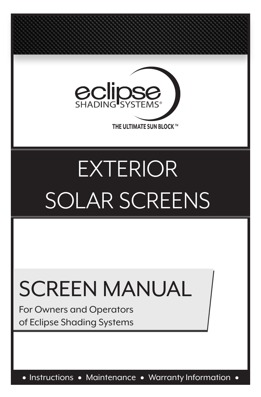

# EXTERIOR SOLAR SCREENS

# SCREEN MANUAL

For Owners and Operators of Eclipse Shading Systems

• Instructions • Maintenance • Warranty Information •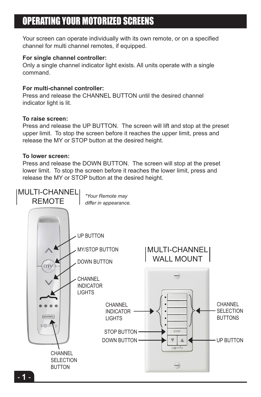# OPERATING YOUR MOTORIZED SCREENS

Your screen can operate individually with its own remote, or on a specified channel for multi channel remotes, if equipped.

## **For single channel controller:**

Only a single channel indicator light exists. All units operate with a single command.

## **For multi-channel controller:**

Press and release the CHANNEL BUTTON until the desired channel indicator light is lit.

## **To raise screen:**

Press and release the UP BUTTON. The screen will lift and stop at the preset upper limit. To stop the screen before it reaches the upper limit, press and release the MY or STOP button at the desired height.

### **To lower screen:**

Press and release the DOWN BUTTON. The screen will stop at the preset lower limit. To stop the screen before it reaches the lower limit, press and release the MY or STOP button at the desired height.

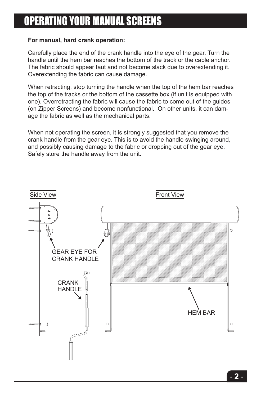# OPERATING YOUR MANUAL SCREENS

## **For manual, hard crank operation:**

Carefully place the end of the crank handle into the eye of the gear. Turn the handle until the hem bar reaches the bottom of the track or the cable anchor. The fabric should appear taut and not become slack due to overextending it. Overextending the fabric can cause damage.

(on Zipper Screens) and become nonfunctional. On other units, it can dam-When retracting, stop turning the handle when the top of the hem bar reaches the top of the tracks or the bottom of the cassette box (if unit is equipped with one). Overretracting the fabric will cause the fabric to come out of the guides age the fabric as well as the mechanical parts.

When not operating the screen, it is strongly suggested that you remove the the frame the handle unit the second the bondle quinding or the distribution of the track or the cable crank handle from the gear eye. This is to avoid the handle swinging around, and possibly causing damage to the fabric or dropping out of the gear eye. Safely store the handle away from the unit.

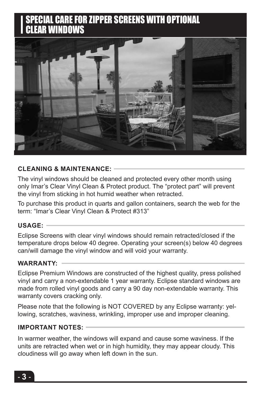# **SPECIAL CARE FOR ZIPPER SCREENS WITH OPTIONAL** SPECIAL CARE FOR ZIPPER SCREENS WITH OPTIONAL CLEAR WINDOWS



#### **CLEANING & MAINTENANCE: CLEANING & MAINTENANCE:**

The vinyl windows should be cleaned and protected every other month only Imar's Clear Vinyl Clean & Protect product. The "protect part" will prevent using only Imar's Clear Vinyl Clean & Protect product. The "protect part" will the vinyl from sticking in hot humid weather when retracted. The vinyl windows should be cleaned and protected every other month using

preventy from sticking in hot humid weather when retracted. term: "Imar's Clear Vinyl Clean & Protect #313" To purchase this product in quarts and gallon containers, search the web for the

# the term: "Imar's Clear Vinyl Clean & Protect #313" **USAGE:**

**USAGE:** temperature drops below 40 degree. Operating your screen(s) below 40 degrees Eclipse Screens with clear vinyl windows should remain retracted/closed if can/will damage the vinyl window and will void your warranty.  $\sim$  the temperature drops below  $\sim$  degree. Operating your screen (s) below 40 degree. Operating your screen Eclipse Screens with clear vinyl windows should remain retracted/closed if the

#### WARRANTY:  $\overline{\phantom{a} \phantom{a} \phantom{a}}$ **WARRANTY:**

vinyl and carry a non-extendable 1 year warranty. Eclipse standard windows are made from rolled vinyl goods and carry a 90 day non-extendable warranty. This warranty covers cracking only. Eclipse Premium Windows are constructed of the highest quality, press polished

Please note that the following is NOT COVERED by any Eclipse warranty: yellowing, scratches, waviness, wrinkling, improper use and improper cleaning.

#### PLAT THAT THE FOLLOWING IS NOT COVERED by any EQUIPSE WARRANTY IS NOT COVERED by any ECOVERED by any ECOVERED by any ECOVERED by any ECOVERED by any ECOVERED by any ECOVERED by any ECOVERED by any ECOVERED by any ECOVERED **IMPORTANT NOTES:**

In warmer weather, the windows will expand and cause some waviness. If the units are retracted when wet or in high humidity, they may appear cloudy. This cloudiness will go away when left down in the sun.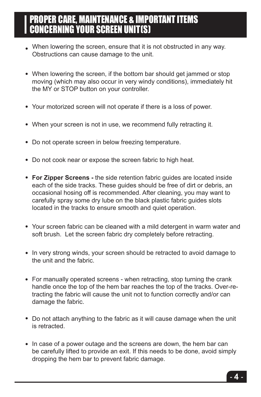# PROPER CARE, MAINTENANCE & IMPORTANT ITEMS CONCERNING YOUR SCREEN UNIT(S)

- When lowering the screen, ensure that it is not obstructed in any way. Obstructions can cause damage to the unit.
- When lowering the screen, if the bottom bar should get jammed or stop moving (which may also occur in very windy conditions), immediately hit the MY or STOP button on your controller.
- Your motorized screen will not operate if there is a loss of power.
- When your screen is not in use, we recommend fully retracting it.
- Do not operate screen in below freezing temperature.
- Do not cook near or expose the screen fabric to high heat.
- **For Zipper Screens -** the side retention fabric guides are located inside each of the side tracks. These guides should be free of dirt or debris, an occasional hosing off is recommended. After cleaning, you may want to carefully spray some dry lube on the black plastic fabric guides slots located in the tracks to ensure smooth and quiet operation.
- Your screen fabric can be cleaned with a mild detergent in warm water and soft brush. Let the screen fabric dry completely before retracting.
- In very strong winds, your screen should be retracted to avoid damage to the unit and the fabric.
- For manually operated screens when retracting, stop turning the crank handle once the top of the hem bar reaches the top of the tracks. Over-retracting the fabric will cause the unit not to function correctly and/or can damage the fabric.
- Do not attach anything to the fabric as it will cause damage when the unit is retracted.
- In case of a power outage and the screens are down, the hem bar can be carefully lifted to provide an exit. If this needs to be done, avoid simply dropping the hem bar to prevent fabric damage.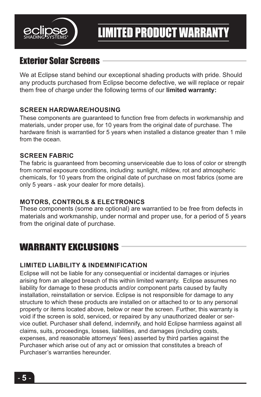

# LIMITED PRODUCT WARRANTY

# Exterior Solar Screens

We at Eclipse stand behind our exceptional shading products with pride. Should any products purchased from Eclipse become defective, we will replace or repair them free of charge under the following terms of our **limited warranty:**

# **SCREEN HARDWARE/HOUSING**

These components are guaranteed to function free from defects in workmanship and materials, under proper use, for 10 years from the original date of purchase. The hardware finish is warrantied for 5 years when installed a distance greater than 1 mile from the ocean.

## **SCREEN FABRIC**

The fabric is guaranteed from becoming unserviceable due to loss of color or strength from normal exposure conditions, including: sunlight, mildew, rot and atmospheric chemicals, for 10 years from the original date of purchase on most fabrics (some are only 5 years - ask your dealer for more details).

# **MOTORS, CONTROLS & ELECTRONICS**

These components (some are optional) are warrantied to be free from defects in materials and workmanship, under normal and proper use, for a period of 5 years from the original date of purchase.

# WARRANTY EXCLUSIONS

# **LIMITED LIABILITY & INDEMNIFICATION**

Eclipse will not be liable for any consequential or incidental damages or injuries arising from an alleged breach of this within limited warranty. Eclipse assumes no liability for damage to these products and/or component parts caused by faulty installation, reinstallation or service. Eclipse is not responsible for damage to any structure to which these products are installed on or attached to or to any personal property or items located above, below or near the screen. Further, this warranty is void if the screen is sold, serviced, or repaired by any unauthorized dealer or service outlet. Purchaser shall defend, indemnify, and hold Eclipse harmless against all claims, suits, proceedings, losses, liabilities, and damages (including costs, expenses, and reasonable attorneys' fees) asserted by third parties against the Purchaser which arise out of any act or omission that constitutes a breach of Purchaser's warranties hereunder.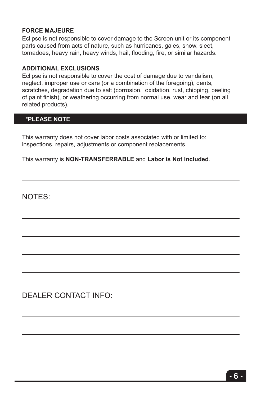## **FORCE MAJEURE**

Eclipse is not responsible to cover damage to the Screen unit or its component parts caused from acts of nature, such as hurricanes, gales, snow, sleet, tornadoes, heavy rain, heavy winds, hail, flooding, fire, or similar hazards.

### **ADDITIONAL EXCLUSIONS**

Eclipse is not responsible to cover the cost of damage due to vandalism, neglect, improper use or care (or a combination of the foregoing), dents, scratches, degradation due to salt (corrosion, oxidation, rust, chipping, peeling of paint finish), or weathering occurring from normal use, wear and tear (on all related products).

# **\*PLEASE NOTE**

This warranty does not cover labor costs associated with or limited to: inspections, repairs, adjustments or component replacements.

This warranty is **NON-TRANSFERRABLE** and **Labor is Not Included**.

NOTES:

DEALER CONTACT INFO: